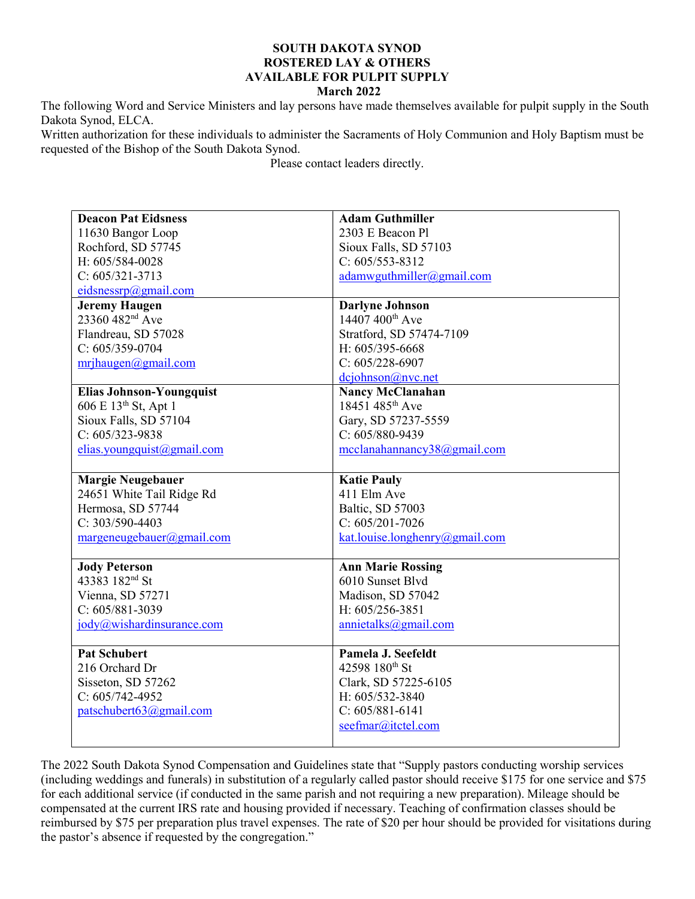## SOUTH DAKOTA SYNOD ROSTERED LAY & OTHERS AVAILABLE FOR PULPIT SUPPLY

## March 2022

The following Word and Service Ministers and lay persons have made themselves available for pulpit supply in the South Dakota Synod, ELCA.

Written authorization for these individuals to administer the Sacraments of Holy Communion and Holy Baptism must be requested of the Bishop of the South Dakota Synod.

Please contact leaders directly.

| <b>Deacon Pat Eidsness</b>       | <b>Adam Guthmiller</b>         |
|----------------------------------|--------------------------------|
| 11630 Bangor Loop                | 2303 E Beacon Pl               |
| Rochford, SD 57745               | Sioux Falls, SD 57103          |
| H: 605/584-0028                  | $C: 605/553 - 8312$            |
| $C: 605/321 - 3713$              | adamwyuthmiller@gmail.com      |
| eidsnessrp@gmail.com             |                                |
| <b>Jeremy Haugen</b>             | <b>Darlyne Johnson</b>         |
| 23360 482 <sup>nd</sup> Ave      | 14407 400 <sup>th</sup> Ave    |
| Flandreau, SD 57028              | Stratford, SD 57474-7109       |
| $C: 605/359-0704$                | H: 605/395-6668                |
| mrihaugen@gmail.com              | $C: 605/228-6907$              |
|                                  | dciohnson@nvc.net              |
| <b>Elias Johnson-Youngquist</b>  | <b>Nancy McClanahan</b>        |
| 606 E 13 <sup>th</sup> St, Apt 1 | 18451 485th Ave                |
| Sioux Falls, SD 57104            | Gary, SD 57237-5559            |
| $C: 605/323 - 9838$              | C: 605/880-9439                |
| elias. you ngquist(gmail.com     | mcclanahannancy38@gmail.com    |
|                                  |                                |
| <b>Margie Neugebauer</b>         | <b>Katie Pauly</b>             |
| 24651 White Tail Ridge Rd        | 411 Elm Ave                    |
| Hermosa, SD 57744                | Baltic, SD 57003               |
| C: 303/590-4403                  | $C: 605/201 - 7026$            |
| margeneugebauer@gmail.com        | kat.louise.longhenry@gmail.com |
|                                  |                                |
| <b>Jody Peterson</b>             | <b>Ann Marie Rossing</b>       |
| 43383 182 <sup>nd</sup> St       | 6010 Sunset Blvd               |
| Vienna, SD 57271                 | Madison, SD 57042              |
| $C: 605/881 - 3039$              | H: 605/256-3851                |
| jody@wishardinsurance.com        | annietalks@gmail.com           |
|                                  |                                |
| <b>Pat Schubert</b>              | Pamela J. Seefeldt             |
| 216 Orchard Dr                   | 42598 180th St                 |
| Sisseton, SD 57262               | Clark, SD 57225-6105           |
| $C: 605/742-4952$                | H: 605/532-3840                |
| patschubert63@gmail.com          | $C: 605/881-6141$              |
|                                  | seefmar@itctel.com             |
|                                  |                                |

The 2022 South Dakota Synod Compensation and Guidelines state that "Supply pastors conducting worship services (including weddings and funerals) in substitution of a regularly called pastor should receive \$175 for one service and \$75 for each additional service (if conducted in the same parish and not requiring a new preparation). Mileage should be compensated at the current IRS rate and housing provided if necessary. Teaching of confirmation classes should be reimbursed by \$75 per preparation plus travel expenses. The rate of \$20 per hour should be provided for visitations during the pastor's absence if requested by the congregation."